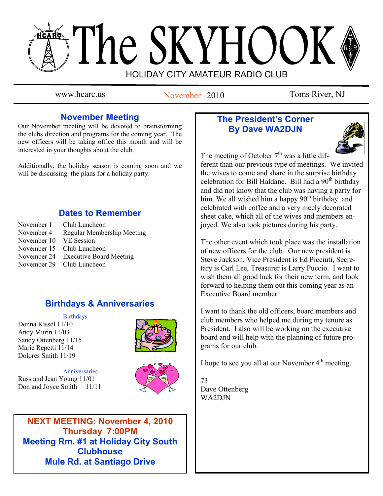# The SKYHOOK HOLIDAY CITY AMATEUR RADIO CLUB

November 2010

www.hcarc.us November 2010 Toms River, NJ

# **November Meeting**

Our November meeting will be devoted to brainstorming the clubs direction and programs for the coming year. The new officers will be taking office this month and will be interested in your thoughts about the club.

Additionally, the holiday season is coming soon and we will be discussing the plans for a holiday party.

# **Dates to Remember**

November 1 Club Luncheon November 4 Regular Membership Meeting November 10 VE Session November 15 Club Luncheon November 24 Executive Board Meeting November 29 Club Luncheon

# **Birthdays & Anniversaries**

#### **Birthdays**

Donna Kissel 11/10 Andy Murin 11/03 Sandy Ottenberg 11/15 Marie Repetti 11/14 Dolores Smith 11/19



Anniversaries Russ and Jean Young 11/01 Don and Joyce Smith 11/11



**NEXT MEETING: November 4, 2010 Thursday 7:00PM Meeting Rm. #1 at Holiday City South Clubhouse Mule Rd. at Santiago Drive**

# **The President's Corner By Dave WA2DJN**



The meeting of October  $7<sup>th</sup>$  was a little dif-

ferent than our previous type of meetings. We invited the wives to come and share in the surprise birthday celebration for Bill Haldane. Bill had a  $90<sup>th</sup>$  birthday and did not know that the club was having a party for him. We all wished him a happy 90<sup>th</sup> birthday and celebrated with coffee and a very nicely decorated sheet cake, which all of the wives and members enjoyed. We also took pictures during his party.

The other event which took place was the installation of new officers for the club. Our new president is Steve Jackson, Vice President is Ed Picciuti, Secretary is Carl Lee, Treasurer is Larry Puccio. I want to wish them all good luck for their new term, and look forward to helping them out this coming year as an Executive Board member.

I want to thank the old officers, board members and club members who helped me during my tenure as President. I also will be working on the executive board and will help with the planning of future programs for our club.

I hope to see you all at our November  $4<sup>th</sup>$  meeting.

73 Dave Ottenberg WA2DJN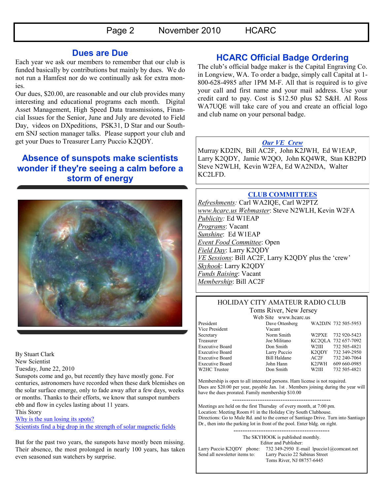#### **Dues are Due**

Each year we ask our members to remember that our club is funded basically by contributions but mainly by dues. We do not run a Hamfest nor do we continually ask for extra monies.

Our dues, \$20.00, are reasonable and our club provides many interesting and educational programs each month. Digital Asset Management, High Speed Data transmissions, Financial Issues for the Senior, June and July are devoted to Field Day, videos on DXpeditions, PSK31, D Star and our Southern SNJ section manager talks. Please support your club and get your Dues to Treasurer Larry Puccio K2QDY.

# **Absence of sunspots make scientists wonder if they're seeing a calm before a storm of energy**



By Stuart Clark New Scientist Tuesday, June 22, 2010

Sunspots come and go, but recently they have mostly gone. For centuries, astronomers have recorded when these dark blemishes on the solar surface emerge, only to fade away after a few days, weeks or months. Thanks to their efforts, we know that sunspot numbers ebb and flow in cycles lasting about 11 years.

This Story

[Why is the sun losing its spots?](http://www.washingtonpost.com/wp-dyn/content/story/2010/06/21/ST2010062104203.html)

[Scientists find a big drop in the strength of solar magnetic fields](http://www.washingtonpost.com/wp-dyn/content/article/2010/06/21/AR2010062104042.html)

But for the past two years, the sunspots have mostly been missing. Their absence, the most prolonged in nearly 100 years, has taken even seasoned sun watchers by surprise.

# **HCARC Official Badge Ordering**

The club's official badge maker is the Capital Engraving Co. in Longview, WA. To order a badge, simply call Capital at 1- 800-628-4985 after 1PM M-F. All that is required is to give your call and first name and your mail address. Use your credit card to pay. Cost is \$12.50 plus \$2 S&H. Al Ross WA7UQE will take care of you and create an official logo and club name on your personal badge.

#### *Our VE Crew*

Murray KD2IN, Bill AC2F, John K2JWH, Ed W1EAP, Larry K2QDY, Jamie W2QO, John KQ4WR, Stan KB2PD Steve N2WLH, Kevin W2FA, Ed WA2NDA, Walter KC2LFD.

#### **CLUB COMMITTEES**

*Refreshments:* Carl WA2IQE, Carl W2PTZ *www.hcarc.us Webmaster*: Steve N2WLH, Kevin W2FA *Publicity:* Ed W1EAP *Programs*: Vacant *Sunshine*: Ed W1EAP *Event Food Committee*: Open *Field Day*: Larry K2QDY *VE Sessions*: Bill AC2F, Larry K2QDY plus the 'crew' *Skyhook*: Larry K2QDY *Funds Raising*: Vacant *Membership*: Bill AC2F

#### HOLIDAY CITY AMATEUR RADIO CLUB Toms River, New Jersey

Vice President Vacant W2HC Trustee Don Smith

Web Site www.hcarc.us<br>Dave Ottenberg President Dave Ottenberg WA2DJN 732 505-5953

Secretary Norm Smith W2PXE 732 920-5423 Treasurer Joe Militano KC2QLA 732 657-7092 Executive Board Don Smith W2III 732 505-4821 Executive Board Larry Puccio K2QDY 732 349-2950<br>Executive Board Bill Haldane AC2F 732 240-7064 Executive Board Bill Haldane AC2F 732 240-7064 Executive Board John Hann K2JWH 609 660-0985

Membership is open to all interested persons. Ham license is not required. Dues are \$20.00 per year, payable Jan. 1st . Members joining during the year will have the dues prorated. Family membership \$10.00

------------------------------------------- Meetings are held on the first Thursday of every month, at 7:00 pm. Location: Meeting Room #1 in the Holiday City South Clubhouse. Directions: Go to Mule Rd. and to the corner of Santiago Drive. Turn into Santiago Dr., then into the parking lot in front of the pool. Enter bldg. on right.

> ------------------------------------------ The SKYHOOK is published monthly.

Editor and Publisher: Larry Puccio K2QDY phone: 732 349-2950 E-mail lpuccio1@comcast.net<br>Send all newsletter items to: Larry Puccio 22 Sabinas Street Larry Puccio 22 Sabinas Street Toms River, NJ 08757-6445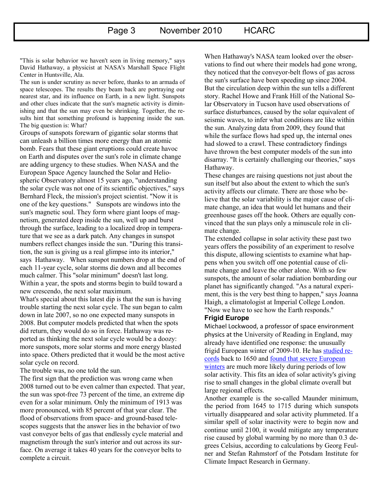"This is solar behavior we haven't seen in living memory," says David Hathaway, a physicist at NASA's Marshall Space Flight Center in Huntsville, Ala.

The sun is under scrutiny as never before, thanks to an armada of space telescopes. The results they beam back are portraying our nearest star, and its influence on Earth, in a new light. Sunspots and other clues indicate that the sun's magnetic activity is diminishing and that the sun may even be shrinking. Together, the results hint that something profound is happening inside the sun. The big question is: What?

Groups of sunspots forewarn of gigantic solar storms that can unleash a billion times more energy than an atomic bomb. Fears that these giant eruptions could create havoc on Earth and disputes over the sun's role in climate change are adding urgency to these studies. When NASA and the European Space Agency launched the Solar and Heliospheric Observatory almost 15 years ago, "understanding the solar cycle was not one of its scientific objectives," says Bernhard Fleck, the mission's project scientist. "Now it is one of the key questions." Sunspots are windows into the sun's magnetic soul. They form where giant loops of magnetism, generated deep inside the sun, well up and burst through the surface, leading to a localized drop in temperature that we see as a dark patch. Any changes in sunspot numbers reflect changes inside the sun. "During this transition, the sun is giving us a real glimpse into its interior," says Hathaway. When sunspot numbers drop at the end of each 11-year cycle, solar storms die down and all becomes much calmer. This "solar minimum" doesn't last long. Within a year, the spots and storms begin to build toward a new crescendo, the next solar maximum.

What's special about this latest dip is that the sun is having trouble starting the next solar cycle. The sun began to calm down in late 2007, so no one expected many sunspots in 2008. But computer models predicted that when the spots did return, they would do so in force. Hathaway was reported as thinking the next solar cycle would be a doozy: more sunspots, more solar storms and more energy blasted into space. Others predicted that it would be the most active solar cycle on record.

The trouble was, no one told the sun.

The first sign that the prediction was wrong came when 2008 turned out to be even calmer than expected. That year, the sun was spot-free 73 percent of the time, an extreme dip even for a solar minimum. Only the minimum of 1913 was more pronounced, with 85 percent of that year clear. The flood of observations from space- and ground-based telescopes suggests that the answer lies in the behavior of two vast conveyor belts of gas that endlessly cycle material and magnetism through the sun's interior and out across its surface. On average it takes 40 years for the conveyor belts to complete a circuit.

When Hathaway's NASA team looked over the observations to find out where their models had gone wrong, they noticed that the conveyor-belt flows of gas across the sun's surface have been speeding up since 2004. But the circulation deep within the sun tells a different story. Rachel Howe and Frank Hill of the National Solar Observatory in Tucson have used observations of surface disturbances, caused by the solar equivalent of seismic waves, to infer what conditions are like within the sun. Analyzing data from 2009, they found that while the surface flows had sped up, the internal ones had slowed to a crawl. These contradictory findings have thrown the best computer models of the sun into disarray. "It is certainly challenging our theories," says Hathaway.

These changes are raising questions not just about the sun itself but also about the extent to which the sun's activity affects our climate. There are those who believe that the solar variability is the major cause of climate change, an idea that would let humans and their greenhouse gases off the hook. Others are equally convinced that the sun plays only a minuscule role in climate change.

The extended collapse in solar activity these past two years offers the possibility of an experiment to resolve this dispute, allowing scientists to examine what happens when you switch off one potential cause of climate change and leave the other alone. With so few sunspots, the amount of solar radiation bombarding our planet has significantly changed. "As a natural experiment, this is the very best thing to happen," says Joanna Haigh, a climatologist at Imperial College London. "Now we have to see how the Earth responds."

#### **Frigid Europe**

Michael Lockwood, a professor of space environment physics at the University of Reading in England, may already have identified one response: the unusually frigid European winter of 2009-10. He has [studied re](http://iopscience.iop.org/1748-9326/5/2/024001)[cords](http://iopscience.iop.org/1748-9326/5/2/024001) back to 1650 and [found that severe European](http://www.newscientist.com/article/mg20627564.800-quiet-sun-puts-europe-on-ice.html)  [winters](http://www.newscientist.com/article/mg20627564.800-quiet-sun-puts-europe-on-ice.html) are much more likely during periods of low solar activity. This fits an idea of solar activity's giving rise to small changes in the global climate overall but large regional effects.

Another example is the so-called Maunder minimum, the period from 1645 to 1715 during which sunspots virtually disappeared and solar activity plummeted. If a similar spell of solar inactivity were to begin now and continue until 2100, it would mitigate any temperature rise caused by global warming by no more than 0.3 degrees Celsius, according to calculations by Georg Feulner and Stefan Rahmstorf of the Potsdam Institute for Climate Impact Research in Germany.